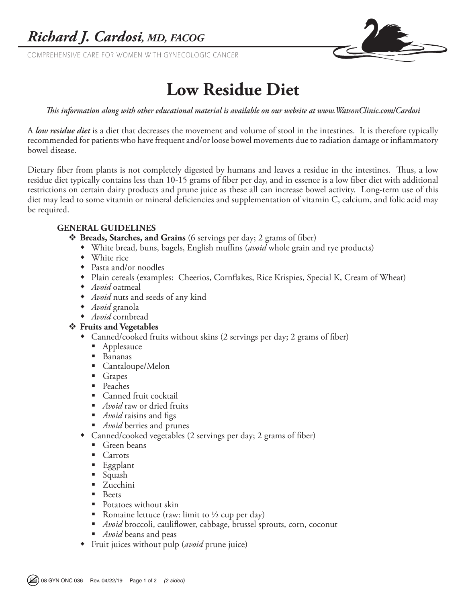COMPREHENSIVE CARE FOR WOMEN WITH GYNECOLOGIC CANCER

## **Low Residue Diet**

*This information along with other educational material is available on our website at www.WatsonClinic.com/Cardosi*

A *low residue diet* is a diet that decreases the movement and volume of stool in the intestines. It is therefore typically recommended for patients who have frequent and/or loose bowel movements due to radiation damage or inflammatory bowel disease.

Dietary fiber from plants is not completely digested by humans and leaves a residue in the intestines. Thus, a low residue diet typically contains less than 10-15 grams of fiber per day, and in essence is a low fiber diet with additional restrictions on certain dairy products and prune juice as these all can increase bowel activity. Long-term use of this diet may lead to some vitamin or mineral deficiencies and supplementation of vitamin C, calcium, and folic acid may be required.

#### **GENERAL GUIDELINES**

- v **Breads, Starches, and Grains** (6 servings per day; 2 grams of fiber)
	- White bread, buns, bagels, English muffins (*avoid* whole grain and rye products)
	- White rice
	- Pasta and/or noodles
	- Plain cereals (examples: Cheerios, Cornflakes, Rice Krispies, Special K, Cream of Wheat)
	- *Avoid* oatmeal
	- *Avoid* nuts and seeds of any kind
	- *Avoid* granola
	- *Avoid* cornbread

#### v **Fruits and Vegetables**

- Canned/cooked fruits without skins (2 servings per day; 2 grams of fiber)
	- Applesauce
	- Bananas
	- Cantaloupe/Melon
	- Grapes
	- Peaches
	- Canned fruit cocktail
	- *Avoid* raw or dried fruits
	- *Avoid* raisins and figs
	- *Avoid* berries and prunes
- Canned/cooked vegetables (2 servings per day; 2 grams of fiber)
	- $\blacksquare$  Green beans
	- Carrots
	- Eggplant
	- Squash
	- Zucchini
	- **Beets**
	- Potatoes without skin
	- Romaine lettuce (raw: limit to  $\frac{1}{2}$  cup per day)
	- *Avoid* broccoli, cauliflower, cabbage, brussel sprouts, corn, coconut
	- *Avoid* beans and peas
- Fruit juices without pulp (*avoid* prune juice)